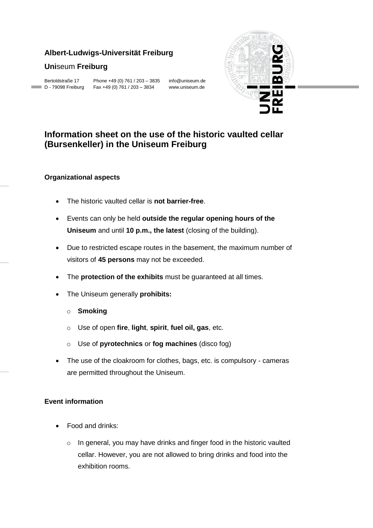## **Albert-Ludwigs-Universität Freiburg**

## **Uni**seum **Freiburg**

Bertoldstraße 17 Phone +49 (0) 761 / 203 – 3835 info@uniseum.de D - 79098 Freiburg Fax +49 (0) 761 / 203 – 3834 www.uniseum.de



# **Information sheet on the use of the historic vaulted cellar (Bursenkeller) in the Uniseum Freiburg**

#### **Organizational aspects**

- The historic vaulted cellar is **not barrier-free**.
- Events can only be held **outside the regular opening hours of the Uniseum** and until **10 p.m., the latest** (closing of the building).
- Due to restricted escape routes in the basement, the maximum number of visitors of **45 persons** may not be exceeded.
- The **protection of the exhibits** must be guaranteed at all times.
- The Uniseum generally **prohibits:** 
	- o **Smoking**
	- o Use of open **fire**, **light**, **spirit**, **fuel oil, gas**, etc.
	- o Use of **pyrotechnics** or **fog machines** (disco fog)
- The use of the cloakroom for clothes, bags, etc. is compulsory cameras are permitted throughout the Uniseum.

#### **Event information**

- Food and drinks:
	- o In general, you may have drinks and finger food in the historic vaulted cellar. However, you are not allowed to bring drinks and food into the exhibition rooms.